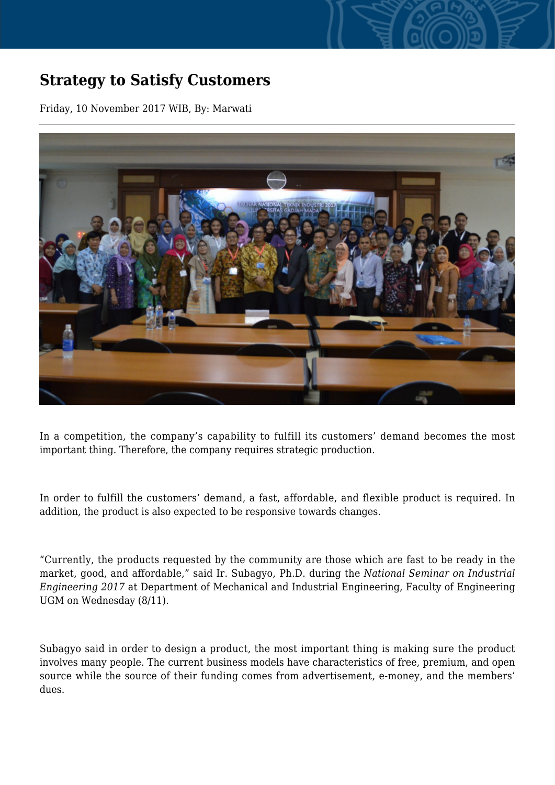## **Strategy to Satisfy Customers**

Friday, 10 November 2017 WIB, By: Marwati



In a competition, the company's capability to fulfill its customers' demand becomes the most important thing. Therefore, the company requires strategic production.

In order to fulfill the customers' demand, a fast, affordable, and flexible product is required. In addition, the product is also expected to be responsive towards changes.

"Currently, the products requested by the community are those which are fast to be ready in the market, good, and affordable," said Ir. Subagyo, Ph.D. during the *National Seminar on Industrial Engineering 2017* at Department of Mechanical and Industrial Engineering, Faculty of Engineering UGM on Wednesday (8/11).

Subagyo said in order to design a product, the most important thing is making sure the product involves many people. The current business models have characteristics of free, premium, and open source while the source of their funding comes from advertisement, e-money, and the members' dues.